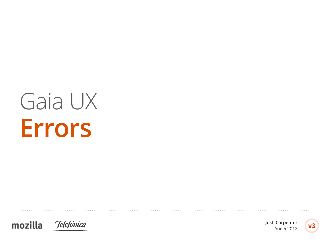# Gaia UX **Errors**





**Josh Carpenter** Aug 5 2012

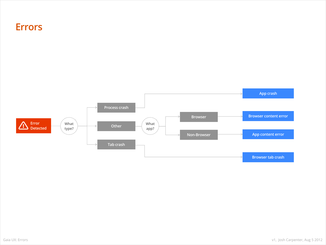#### **Errors**

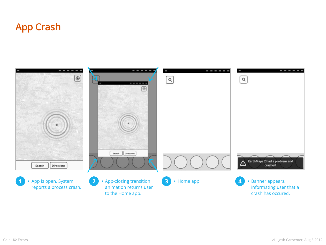# **App Crash**

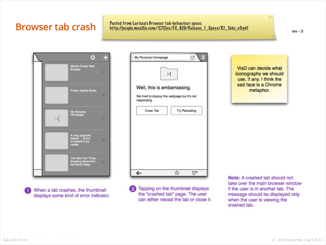## **Browser tab crash** Pasted from Larissa's Browser tab-behaviour specs:<br>http://people.mozilla.com/%7Elco/FX\_B2G/Release\_1\_Specs/R1\_Tabs\_v3.pdf

 $rev - 3$ 



When a tab crashes, the thumbnail displays some kind of error indicator.

| My Personal Homepage                                         | C<br>Ł               |
|--------------------------------------------------------------|----------------------|
|                                                              |                      |
|                                                              | $\div$ (             |
|                                                              |                      |
| Well, this is embarrassing.                                  |                      |
| We tried to display this webpage but it's not<br>responding. |                      |
|                                                              |                      |
| Close Tab                                                    | <b>Try Reloading</b> |
|                                                              |                      |
|                                                              |                      |
|                                                              |                      |
|                                                              |                      |
|                                                              |                      |
|                                                              |                      |
|                                                              |                      |
|                                                              |                      |
| $\overline{\phantom{1}}$                                     | ☆                    |
|                                                              |                      |

2 Tapping on the thumbnail displays the "crashed tab" page. The user can either reload the tab or close it.

VisD can decide what iconography we should use, if any. I think the sad face is a Chrome metaphor.

 $\infty$ 

Note: A crashed tab should not take over the main browser window if the user is in another tab. The message should be displayed only when the user is viewing the crashed tab.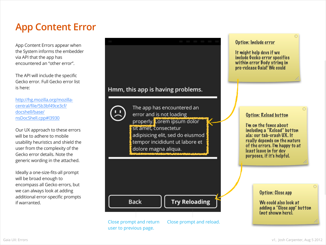# **App Content Error**

App Content Errors appear when the System informs the embedder via API that the app has encountered an "other error".

The API will include the specific Gecko error. Full Gecko error list is here:

[http://hg.mozilla.org/mozilla](http://hg.mozilla.org/mozilla-central/file/5b3bf49ce3cf/docshell/base/nsDocShell.cpp#l3930)[central/file/5b3bf49ce3cf/](http://hg.mozilla.org/mozilla-central/file/5b3bf49ce3cf/docshell/base/nsDocShell.cpp#l3930) [docshell/base/](http://hg.mozilla.org/mozilla-central/file/5b3bf49ce3cf/docshell/base/nsDocShell.cpp#l3930) [nsDocShell.cpp#l3930](http://hg.mozilla.org/mozilla-central/file/5b3bf49ce3cf/docshell/base/nsDocShell.cpp#l3930)

Our UX approach to these errors will be to adhere to mobile usability heuristics and shield the user from the complexity of the Gecko error details. Note the generic wording in the attached.

Ideally a one-size-fits-all prompt will be broad enough to encompass all Gecko errors, but we can always look at adding additional error-specific prompts if warranted.

#### Hmm, this app is having problems.



The app has encountered an error and is not loading properly. Lorem ipsum dolor sit amet, consectetur adipisicing elit, sed do eiusmod tempor incididunt ut labore et dolore magna aliqua.

Option: Include error

It might help devs if we include Gecko error specifics within error Body string in pre-release Gaia? We could

 $\mathbf{\overline{X}}$ 

#### Option: Reload button

I'm on the fence about including a "Reload" button ala: our tab-crash UX. It really depends on the nature of the errors. I'm happy to at least leave in for dev purposes, if it's helpful.

Option: Close app

We could also look at adding a "Close app" button (not shown here).

Close prompt and return user to previous page.

**Back** 

Close prompt and reload.

**Try Reloading**